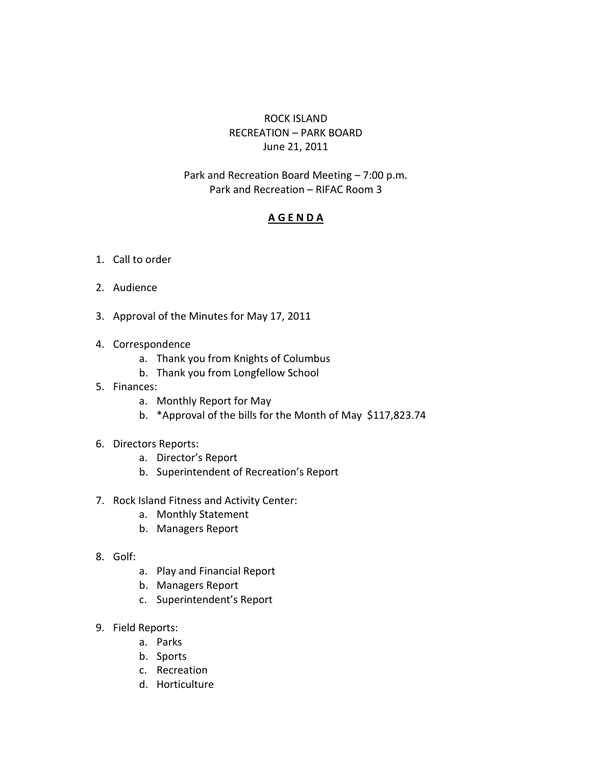## ROCK ISLAND RECREATION – PARK BOARD June 21, 2011

## Park and Recreation Board Meeting – 7:00 p.m. Park and Recreation – RIFAC Room 3

## **A G E N D A**

- 1. Call to order
- 2. Audience
- 3. Approval of the Minutes for May 17, 2011
- 4. Correspondence
	- a. Thank you from Knights of Columbus
	- b. Thank you from Longfellow School
- 5. Finances:
	- a. Monthly Report for May
	- b. \*Approval of the bills for the Month of May \$117,823.74
- 6. Directors Reports:
	- a. Director's Report
	- b. Superintendent of Recreation's Report
- 7. Rock Island Fitness and Activity Center:
	- a. Monthly Statement
	- b. Managers Report
- 8. Golf:
	- a. Play and Financial Report
	- b. Managers Report
	- c. Superintendent's Report
- 9. Field Reports:
	- a. Parks
	- b. Sports
	- c. Recreation
	- d. Horticulture